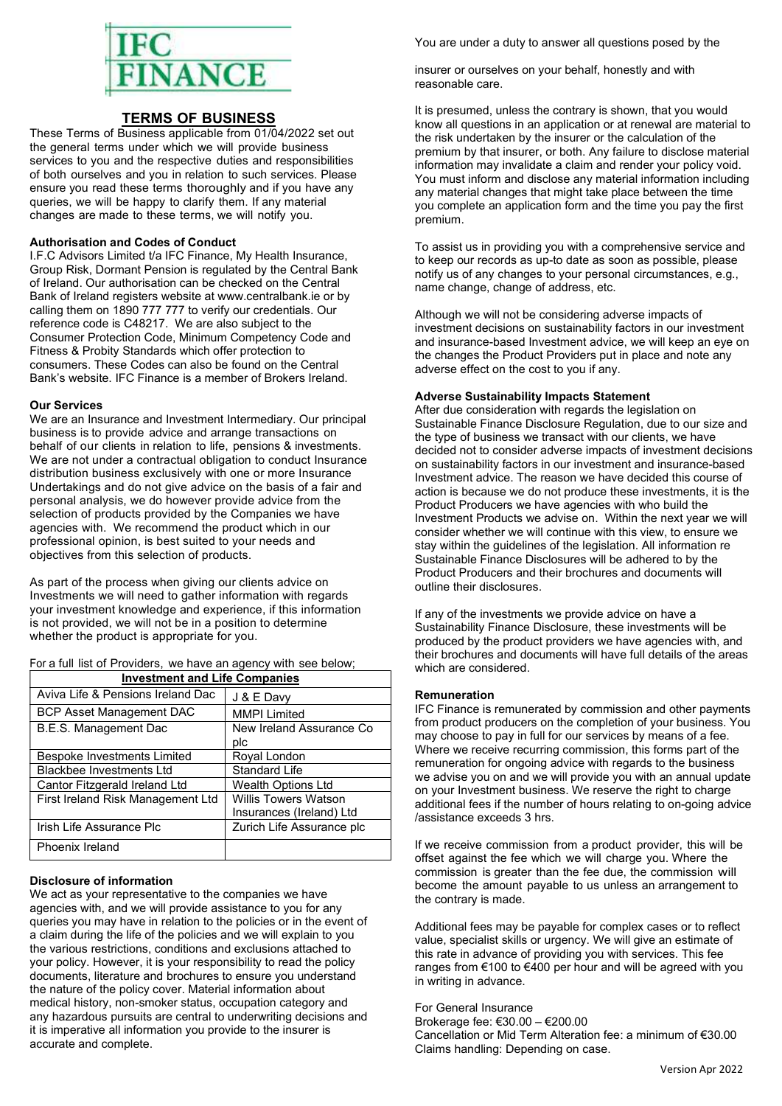

# TERMS OF BUSINESS

These Terms of Business applicable from 01/04/2022 set out the general terms under which we will provide business services to you and the respective duties and responsibilities of both ourselves and you in relation to such services. Please ensure you read these terms thoroughly and if you have any queries, we will be happy to clarify them. If any material changes are made to these terms, we will notify you.

#### Authorisation and Codes of Conduct

I.F.C Advisors Limited t/a IFC Finance, My Health Insurance, Group Risk, Dormant Pension is regulated by the Central Bank of Ireland. Our authorisation can be checked on the Central Bank of Ireland registers website at www.centralbank.ie or by calling them on 1890 777 777 to verify our credentials. Our reference code is C48217. We are also subject to the Consumer Protection Code, Minimum Competency Code and Fitness & Probity Standards which offer protection to consumers. These Codes can also be found on the Central Bank's website. IFC Finance is a member of Brokers Ireland.

## Our Services

We are an Insurance and Investment Intermediary. Our principal business is to provide advice and arrange transactions on behalf of our clients in relation to life, pensions & investments. We are not under a contractual obligation to conduct Insurance distribution business exclusively with one or more Insurance Undertakings and do not give advice on the basis of a fair and personal analysis, we do however provide advice from the selection of products provided by the Companies we have agencies with. We recommend the product which in our professional opinion, is best suited to your needs and objectives from this selection of products.

As part of the process when giving our clients advice on Investments we will need to gather information with regards your investment knowledge and experience, if this information is not provided, we will not be in a position to determine whether the product is appropriate for you.

For a full list of Providers, we have an agency with see below;

| <b>Investment and Life Companies</b> |                             |
|--------------------------------------|-----------------------------|
| Aviva Life & Pensions Ireland Dac    | J & E Davy                  |
| <b>BCP Asset Management DAC</b>      | <b>MMPI Limited</b>         |
| B.E.S. Management Dac                | New Ireland Assurance Co    |
|                                      | plc                         |
| Bespoke Investments Limited          | Royal London                |
| <b>Blackbee Investments Ltd</b>      | <b>Standard Life</b>        |
| Cantor Fitzgerald Ireland Ltd        | Wealth Options Ltd          |
| First Ireland Risk Management Ltd    | <b>Willis Towers Watson</b> |
|                                      | Insurances (Ireland) Ltd    |
| Irish Life Assurance Plc             | Zurich Life Assurance plc   |
| Phoenix Ireland                      |                             |

#### Disclosure of information

We act as your representative to the companies we have agencies with, and we will provide assistance to you for any queries you may have in relation to the policies or in the event of a claim during the life of the policies and we will explain to you the various restrictions, conditions and exclusions attached to your policy. However, it is your responsibility to read the policy documents, literature and brochures to ensure you understand the nature of the policy cover. Material information about medical history, non-smoker status, occupation category and any hazardous pursuits are central to underwriting decisions and it is imperative all information you provide to the insurer is accurate and complete.

You are under a duty to answer all questions posed by the

insurer or ourselves on your behalf, honestly and with reasonable care.

It is presumed, unless the contrary is shown, that you would know all questions in an application or at renewal are material to the risk undertaken by the insurer or the calculation of the premium by that insurer, or both. Any failure to disclose material information may invalidate a claim and render your policy void. You must inform and disclose any material information including any material changes that might take place between the time you complete an application form and the time you pay the first premium.

To assist us in providing you with a comprehensive service and to keep our records as up-to date as soon as possible, please notify us of any changes to your personal circumstances, e.g., name change, change of address, etc.

Although we will not be considering adverse impacts of investment decisions on sustainability factors in our investment and insurance-based Investment advice, we will keep an eye on the changes the Product Providers put in place and note any adverse effect on the cost to you if any.

#### Adverse Sustainability Impacts Statement

After due consideration with regards the legislation on Sustainable Finance Disclosure Regulation, due to our size and the type of business we transact with our clients, we have decided not to consider adverse impacts of investment decisions on sustainability factors in our investment and insurance-based Investment advice. The reason we have decided this course of action is because we do not produce these investments, it is the Product Producers we have agencies with who build the Investment Products we advise on. Within the next year we will consider whether we will continue with this view, to ensure we stay within the guidelines of the legislation. All information re Sustainable Finance Disclosures will be adhered to by the Product Producers and their brochures and documents will outline their disclosures.

If any of the investments we provide advice on have a Sustainability Finance Disclosure, these investments will be produced by the product providers we have agencies with, and their brochures and documents will have full details of the areas which are considered.

## Remuneration

IFC Finance is remunerated by commission and other payments from product producers on the completion of your business. You may choose to pay in full for our services by means of a fee. Where we receive recurring commission, this forms part of the remuneration for ongoing advice with regards to the business we advise you on and we will provide you with an annual update on your Investment business. We reserve the right to charge additional fees if the number of hours relating to on-going advice /assistance exceeds 3 hrs.

If we receive commission from a product provider, this will be offset against the fee which we will charge you. Where the commission is greater than the fee due, the commission will become the amount payable to us unless an arrangement to the contrary is made.

Additional fees may be payable for complex cases or to reflect value, specialist skills or urgency. We will give an estimate of this rate in advance of providing you with services. This fee ranges from €100 to €400 per hour and will be agreed with you in writing in advance.

For General Insurance Brokerage fee: €30.00 – €200.00 Cancellation or Mid Term Alteration fee: a minimum of €30.00 Claims handling: Depending on case.